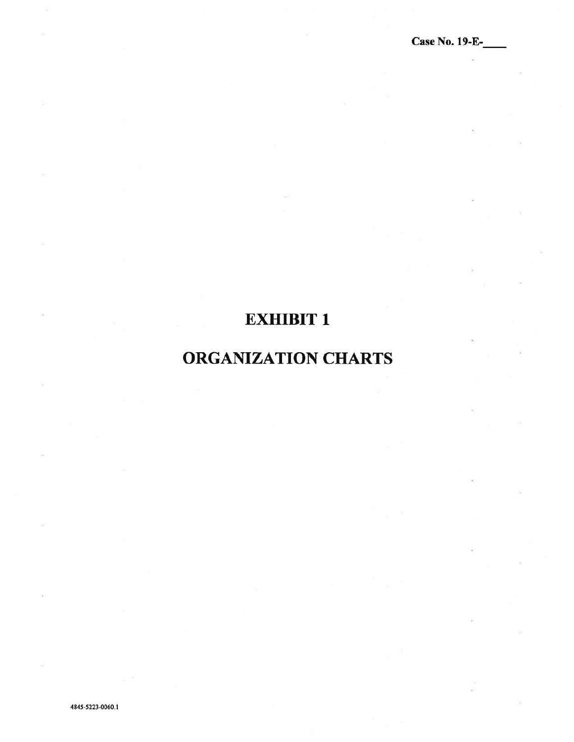## EXHIBIT 1

## ORGANIZATION CHARTS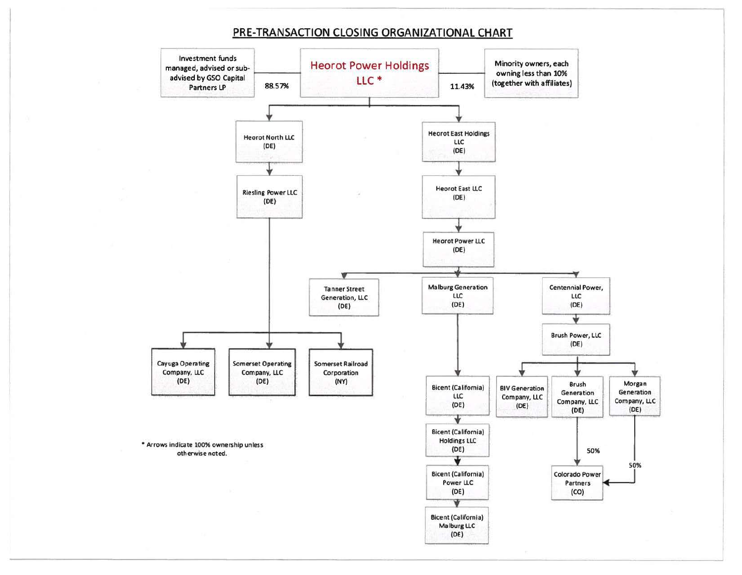## PRE-TRANSACTION CLOSING ORGANIZATIONAL CHART